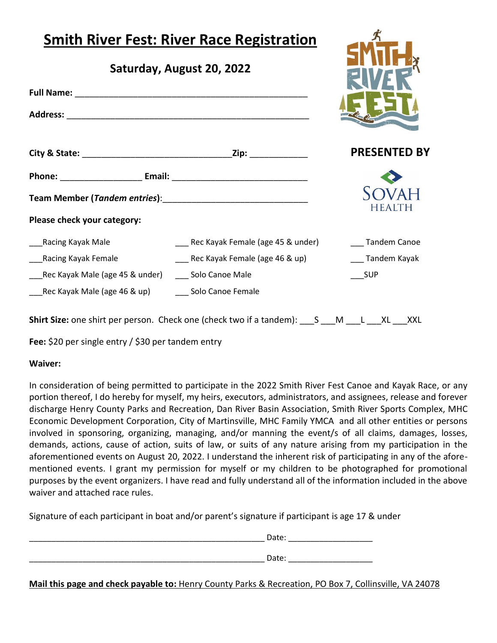| <b>Smith River Fest: River Race Registration</b><br>Saturday, August 20, 2022 |                                       |                     |
|-------------------------------------------------------------------------------|---------------------------------------|---------------------|
|                                                                               |                                       |                     |
|                                                                               |                                       |                     |
|                                                                               |                                       | <b>PRESENTED BY</b> |
|                                                                               |                                       |                     |
|                                                                               |                                       | HFA                 |
| Please check your category:                                                   |                                       |                     |
| Racing Kayak Male                                                             | ___ Rec Kayak Female (age 45 & under) | Tandem Canoe        |
| Racing Kayak Female                                                           | ___ Rec Kayak Female (age 46 & up)    | ___ Tandem Kayak    |
| Rec Kayak Male (age 45 & under)                                               | ___ Solo Canoe Male                   | SUP                 |
| Rec Kayak Male (age 46 & up)                                                  | Solo Canoe Female                     |                     |

**Shirt Size:** one shirt per person. Check one (check two if a tandem): \_\_\_S \_\_\_M \_\_\_L \_\_\_XL \_\_\_XXL

**Fee:** \$20 per single entry / \$30 per tandem entry

### **Waiver:**

In consideration of being permitted to participate in the 2022 Smith River Fest Canoe and Kayak Race, or any portion thereof, I do hereby for myself, my heirs, executors, administrators, and assignees, release and forever discharge Henry County Parks and Recreation, Dan River Basin Association, Smith River Sports Complex, MHC Economic Development Corporation, City of Martinsville, MHC Family YMCA and all other entities or persons involved in sponsoring, organizing, managing, and/or manning the event/s of all claims, damages, losses, demands, actions, cause of action, suits of law, or suits of any nature arising from my participation in the aforementioned events on August 20, 2022. I understand the inherent risk of participating in any of the aforementioned events. I grant my permission for myself or my children to be photographed for promotional purposes by the event organizers. I have read and fully understand all of the information included in the above waiver and attached race rules.

Signature of each participant in boat and/or parent's signature if participant is age 17 & under

| Date: |  |
|-------|--|
| Date: |  |

**Mail this page and check payable to:** Henry County Parks & Recreation, PO Box 7, Collinsville, VA 24078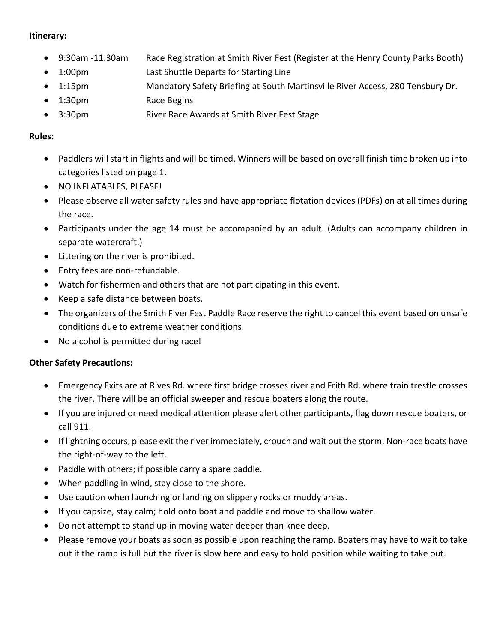### **Itinerary:**

- 9:30am -11:30am Race Registration at Smith River Fest (Register at the Henry County Parks Booth)
- 1:00pm Last Shuttle Departs for Starting Line
- 1:15pm Mandatory Safety Briefing at South Martinsville River Access, 280 Tensbury Dr.
- 1:30pm Race Begins
- 3:30pm River Race Awards at Smith River Fest Stage

# **Rules:**

- Paddlers will start in flights and will be timed. Winners will be based on overall finish time broken up into categories listed on page 1.
- NO INFLATABLES, PLEASE!
- Please observe all water safety rules and have appropriate flotation devices (PDFs) on at all times during the race.
- Participants under the age 14 must be accompanied by an adult. (Adults can accompany children in separate watercraft.)
- Littering on the river is prohibited.
- Entry fees are non-refundable.
- Watch for fishermen and others that are not participating in this event.
- Keep a safe distance between boats.
- The organizers of the Smith Fiver Fest Paddle Race reserve the right to cancel this event based on unsafe conditions due to extreme weather conditions.
- No alcohol is permitted during race!

# **Other Safety Precautions:**

- Emergency Exits are at Rives Rd. where first bridge crosses river and Frith Rd. where train trestle crosses the river. There will be an official sweeper and rescue boaters along the route.
- If you are injured or need medical attention please alert other participants, flag down rescue boaters, or call 911.
- If lightning occurs, please exit the river immediately, crouch and wait out the storm. Non-race boats have the right-of-way to the left.
- Paddle with others; if possible carry a spare paddle.
- When paddling in wind, stay close to the shore.
- Use caution when launching or landing on slippery rocks or muddy areas.
- If you capsize, stay calm; hold onto boat and paddle and move to shallow water.
- Do not attempt to stand up in moving water deeper than knee deep.
- Please remove your boats as soon as possible upon reaching the ramp. Boaters may have to wait to take out if the ramp is full but the river is slow here and easy to hold position while waiting to take out.